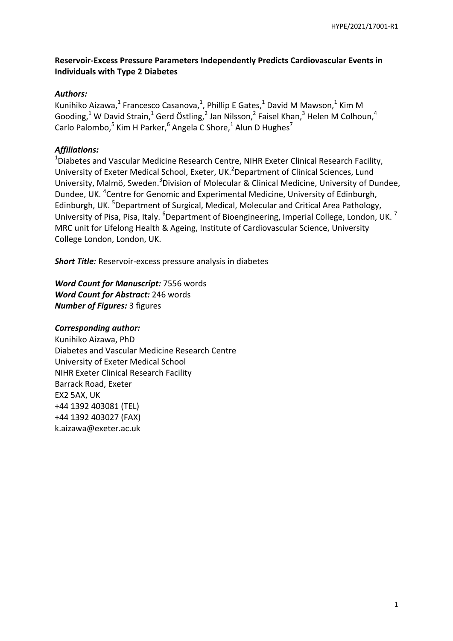# **Reservoir-Excess Pressure Parameters Independently Predicts Cardiovascular Events in Individuals with Type 2 Diabetes**

## *Authors:*

Kunihiko Aizawa,<sup>1</sup> Francesco Casanova,<sup>1</sup>, Phillip E Gates,<sup>1</sup> David M Mawson,<sup>1</sup> Kim M Gooding,<sup>1</sup> W David Strain,<sup>1</sup> Gerd Östling,<sup>2</sup> Jan Nilsson,<sup>2</sup> Faisel Khan,<sup>3</sup> Helen M Colhoun,<sup>4</sup> Carlo Palombo,<sup>5</sup> Kim H Parker,<sup>6</sup> Angela C Shore,<sup>1</sup> Alun D Hughes<sup>7</sup>

# *Affiliations:*

<sup>1</sup>Diabetes and Vascular Medicine Research Centre, NIHR Exeter Clinical Research Facility, University of Exeter Medical School, Exeter, UK.<sup>2</sup>Department of Clinical Sciences, Lund University, Malmö, Sweden.<sup>3</sup>Division of Molecular & Clinical Medicine, University of Dundee, Dundee, UK.<sup>4</sup> Centre for Genomic and Experimental Medicine, University of Edinburgh, Edinburgh, UK.<sup>5</sup> Department of Surgical, Medical, Molecular and Critical Area Pathology, University of Pisa, Pisa, Italy.  ${}^{6}$ Department of Bioengineering, Imperial College, London, UK.  ${}^{7}$ MRC unit for Lifelong Health & Ageing, Institute of Cardiovascular Science, University College London, London, UK.

*Short Title:* Reservoir-excess pressure analysis in diabetes

*Word Count for Manuscript:* 7556 words *Word Count for Abstract:* 246 words *Number of Figures:* 3 figures

## *Corresponding author:*

Kunihiko Aizawa, PhD Diabetes and Vascular Medicine Research Centre University of Exeter Medical School NIHR Exeter Clinical Research Facility Barrack Road, Exeter EX2 5AX, UK +44 1392 403081 (TEL) +44 1392 403027 (FAX) k.aizawa@exeter.ac.uk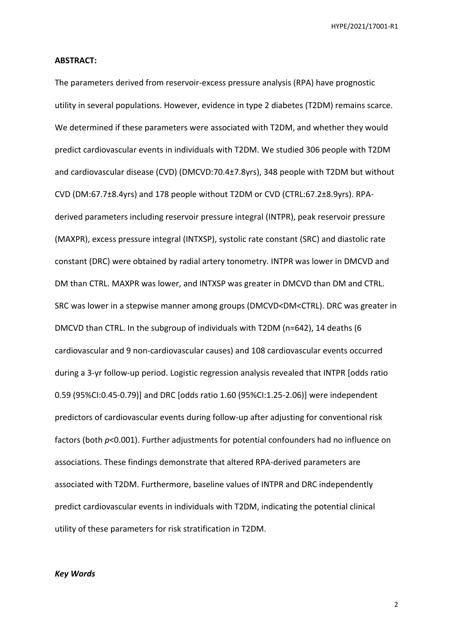### **ABSTRACT:**

The parameters derived from reservoir-excess pressure analysis (RPA) have prognostic utility in several populations. However, evidence in type 2 diabetes (T2DM) remains scarce. We determined if these parameters were associated with T2DM, and whether they would predict cardiovascular events in individuals with T2DM. We studied 306 people with T2DM and cardiovascular disease (CVD) (DMCVD:70.4±7.8yrs), 348 people with T2DM but without CVD (DM:67.7±8.4yrs) and 178 people without T2DM or CVD (CTRL:67.2±8.9yrs). RPAderived parameters including reservoir pressure integral (INTPR), peak reservoir pressure (MAXPR), excess pressure integral (INTXSP), systolic rate constant (SRC) and diastolic rate constant (DRC) were obtained by radial artery tonometry. INTPR was lower in DMCVD and DM than CTRL. MAXPR was lower, and INTXSP was greater in DMCVD than DM and CTRL. SRC was lower in a stepwise manner among groups (DMCVD<DM<CTRL). DRC was greater in DMCVD than CTRL. In the subgroup of individuals with T2DM (n=642), 14 deaths (6 cardiovascular and 9 non-cardiovascular causes) and 108 cardiovascular events occurred during a 3-yr follow-up period. Logistic regression analysis revealed that INTPR [odds ratio 0.59 (95%CI:0.45-0.79)] and DRC [odds ratio 1.60 (95%CI:1.25-2.06)] were independent predictors of cardiovascular events during follow-up after adjusting for conventional risk factors (both *p*<0.001). Further adjustments for potential confounders had no influence on associations. These findings demonstrate that altered RPA-derived parameters are associated with T2DM. Furthermore, baseline values of INTPR and DRC independently predict cardiovascular events in individuals with T2DM, indicating the potential clinical utility of these parameters for risk stratification in T2DM.

### *Key Words*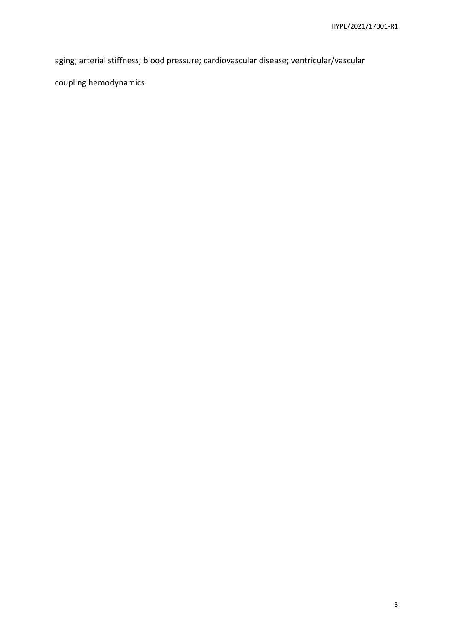aging; arterial stiffness; blood pressure; cardiovascular disease; ventricular/vascular

coupling hemodynamics.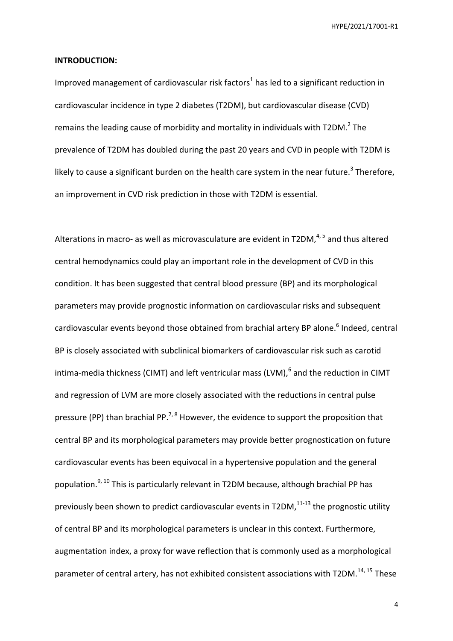### **INTRODUCTION:**

Improved management of cardiovascular risk factors<sup>1</sup> has led to a significant reduction in cardiovascular incidence in type 2 diabetes (T2DM), but cardiovascular disease (CVD) remains the leading cause of morbidity and mortality in individuals with T2DM. $^{2}$  The prevalence of T2DM has doubled during the past 20 years and CVD in people with T2DM is likely to cause a significant burden on the health care system in the near future.<sup>3</sup> Therefore, an improvement in CVD risk prediction in those with T2DM is essential.

Alterations in macro- as well as microvasculature are evident in T2DM,<sup>4,5</sup> and thus altered central hemodynamics could play an important role in the development of CVD in this condition. It has been suggested that central blood pressure (BP) and its morphological parameters may provide prognostic information on cardiovascular risks and subsequent cardiovascular events beyond those obtained from brachial artery BP alone.<sup>6</sup> Indeed, central BP is closely associated with subclinical biomarkers of cardiovascular risk such as carotid intima-media thickness (CIMT) and left ventricular mass (LVM), $^6$  and the reduction in CIMT and regression of LVM are more closely associated with the reductions in central pulse pressure (PP) than brachial PP.<sup>7, 8</sup> However, the evidence to support the proposition that central BP and its morphological parameters may provide better prognostication on future cardiovascular events has been equivocal in a hypertensive population and the general population.<sup>9, 10</sup> This is particularly relevant in T2DM because, although brachial PP has previously been shown to predict cardiovascular events in T2DM, $^{11-13}$  the prognostic utility of central BP and its morphological parameters is unclear in this context. Furthermore, augmentation index, a proxy for wave reflection that is commonly used as a morphological parameter of central artery, has not exhibited consistent associations with  $T2DM.<sup>14, 15</sup>$  These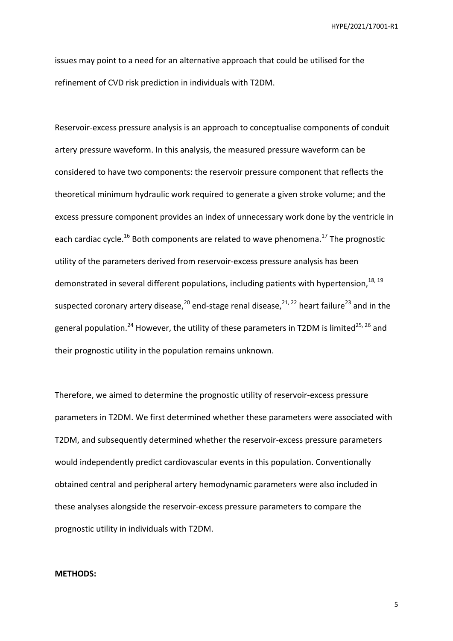issues may point to a need for an alternative approach that could be utilised for the refinement of CVD risk prediction in individuals with T2DM.

Reservoir-excess pressure analysis is an approach to conceptualise components of conduit artery pressure waveform. In this analysis, the measured pressure waveform can be considered to have two components: the reservoir pressure component that reflects the theoretical minimum hydraulic work required to generate a given stroke volume; and the excess pressure component provides an index of unnecessary work done by the ventricle in each cardiac cycle.<sup>16</sup> Both components are related to wave phenomena.<sup>17</sup> The prognostic utility of the parameters derived from reservoir-excess pressure analysis has been demonstrated in several different populations, including patients with hypertension,<sup>18, 19</sup> suspected coronary artery disease,  $20$  end-stage renal disease,  $21$ ,  $22$  heart failure  $23$  and in the general population.<sup>24</sup> However, the utility of these parameters in T2DM is limited<sup>25, 26</sup> and their prognostic utility in the population remains unknown.

Therefore, we aimed to determine the prognostic utility of reservoir-excess pressure parameters in T2DM. We first determined whether these parameters were associated with T2DM, and subsequently determined whether the reservoir-excess pressure parameters would independently predict cardiovascular events in this population. Conventionally obtained central and peripheral artery hemodynamic parameters were also included in these analyses alongside the reservoir-excess pressure parameters to compare the prognostic utility in individuals with T2DM.

### **METHODS:**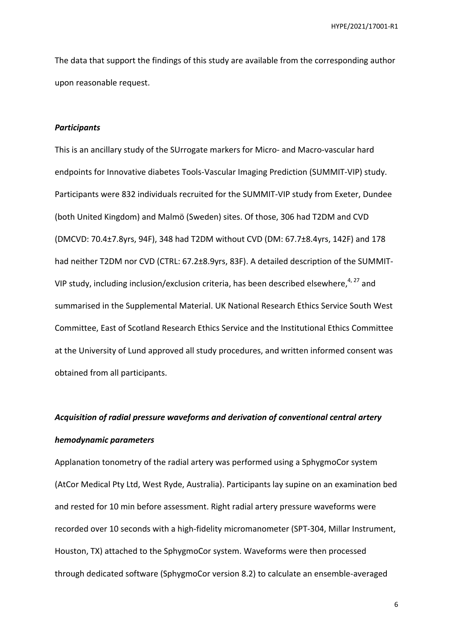The data that support the findings of this study are available from the corresponding author upon reasonable request.

#### *Participants*

This is an ancillary study of the SUrrogate markers for Micro- and Macro-vascular hard endpoints for Innovative diabetes Tools-Vascular Imaging Prediction (SUMMIT-VIP) study. Participants were 832 individuals recruited for the SUMMIT-VIP study from Exeter, Dundee (both United Kingdom) and Malmö (Sweden) sites. Of those, 306 had T2DM and CVD (DMCVD: 70.4±7.8yrs, 94F), 348 had T2DM without CVD (DM: 67.7±8.4yrs, 142F) and 178 had neither T2DM nor CVD (CTRL: 67.2±8.9yrs, 83F). A detailed description of the SUMMIT-VIP study, including inclusion/exclusion criteria, has been described elsewhere,  $4.27$  and summarised in the Supplemental Material. UK National Research Ethics Service South West Committee, East of Scotland Research Ethics Service and the Institutional Ethics Committee at the University of Lund approved all study procedures, and written informed consent was obtained from all participants.

# *Acquisition of radial pressure waveforms and derivation of conventional central artery hemodynamic parameters*

Applanation tonometry of the radial artery was performed using a SphygmoCor system (AtCor Medical Pty Ltd, West Ryde, Australia). Participants lay supine on an examination bed and rested for 10 min before assessment. Right radial artery pressure waveforms were recorded over 10 seconds with a high-fidelity micromanometer (SPT-304, Millar Instrument, Houston, TX) attached to the SphygmoCor system. Waveforms were then processed through dedicated software (SphygmoCor version 8.2) to calculate an ensemble-averaged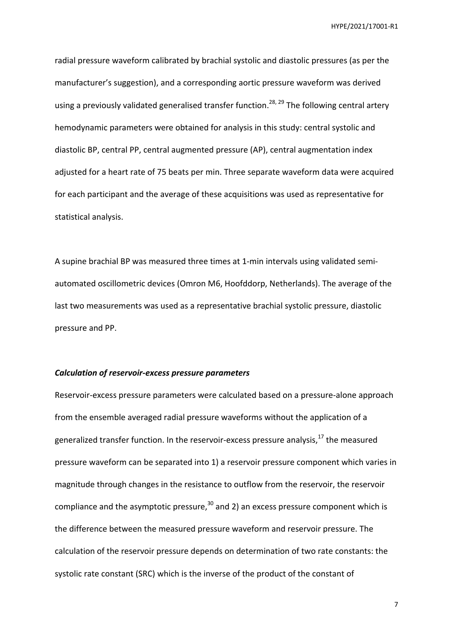radial pressure waveform calibrated by brachial systolic and diastolic pressures (as per the manufacturer's suggestion), and a corresponding aortic pressure waveform was derived using a previously validated generalised transfer function.<sup>28, 29</sup> The following central artery hemodynamic parameters were obtained for analysis in this study: central systolic and diastolic BP, central PP, central augmented pressure (AP), central augmentation index adjusted for a heart rate of 75 beats per min. Three separate waveform data were acquired for each participant and the average of these acquisitions was used as representative for statistical analysis.

A supine brachial BP was measured three times at 1-min intervals using validated semiautomated oscillometric devices (Omron M6, Hoofddorp, Netherlands). The average of the last two measurements was used as a representative brachial systolic pressure, diastolic pressure and PP.

### *Calculation of reservoir-excess pressure parameters*

Reservoir-excess pressure parameters were calculated based on a pressure-alone approach from the ensemble averaged radial pressure waveforms without the application of a generalized transfer function. In the reservoir-excess pressure analysis, $^{17}$  the measured pressure waveform can be separated into 1) a reservoir pressure component which varies in magnitude through changes in the resistance to outflow from the reservoir, the reservoir compliance and the asymptotic pressure, $30$  and 2) an excess pressure component which is the difference between the measured pressure waveform and reservoir pressure. The calculation of the reservoir pressure depends on determination of two rate constants: the systolic rate constant (SRC) which is the inverse of the product of the constant of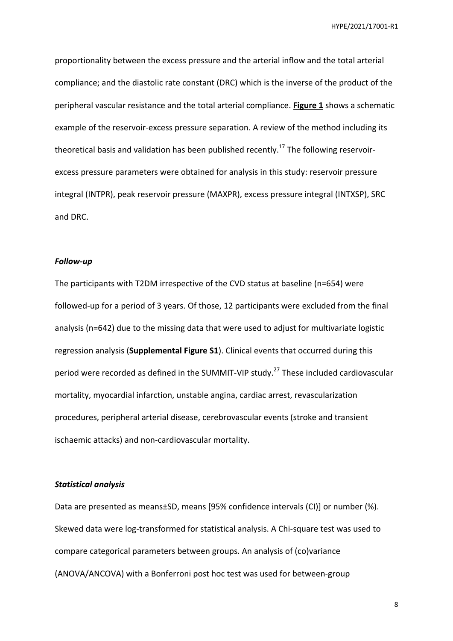proportionality between the excess pressure and the arterial inflow and the total arterial compliance; and the diastolic rate constant (DRC) which is the inverse of the product of the peripheral vascular resistance and the total arterial compliance. **Figure 1** shows a schematic example of the reservoir-excess pressure separation. A review of the method including its theoretical basis and validation has been published recently.<sup>17</sup> The following reservoirexcess pressure parameters were obtained for analysis in this study: reservoir pressure integral (INTPR), peak reservoir pressure (MAXPR), excess pressure integral (INTXSP), SRC and DRC.

### *Follow-up*

The participants with T2DM irrespective of the CVD status at baseline (n=654) were followed-up for a period of 3 years. Of those, 12 participants were excluded from the final analysis (n=642) due to the missing data that were used to adjust for multivariate logistic regression analysis (**Supplemental Figure S1**). Clinical events that occurred during this period were recorded as defined in the SUMMIT-VIP study.<sup>27</sup> These included cardiovascular mortality, myocardial infarction, unstable angina, cardiac arrest, revascularization procedures, peripheral arterial disease, cerebrovascular events (stroke and transient ischaemic attacks) and non-cardiovascular mortality.

## *Statistical analysis*

Data are presented as means±SD, means [95% confidence intervals (CI)] or number (%). Skewed data were log-transformed for statistical analysis. A Chi-square test was used to compare categorical parameters between groups. An analysis of (co)variance (ANOVA/ANCOVA) with a Bonferroni post hoc test was used for between-group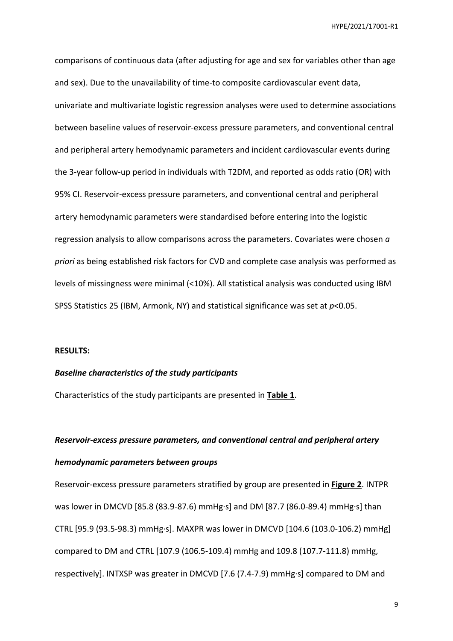comparisons of continuous data (after adjusting for age and sex for variables other than age and sex). Due to the unavailability of time-to composite cardiovascular event data, univariate and multivariate logistic regression analyses were used to determine associations between baseline values of reservoir-excess pressure parameters, and conventional central and peripheral artery hemodynamic parameters and incident cardiovascular events during the 3-year follow-up period in individuals with T2DM, and reported as odds ratio (OR) with 95% CI. Reservoir-excess pressure parameters, and conventional central and peripheral artery hemodynamic parameters were standardised before entering into the logistic regression analysis to allow comparisons across the parameters. Covariates were chosen *a priori* as being established risk factors for CVD and complete case analysis was performed as levels of missingness were minimal (<10%). All statistical analysis was conducted using IBM SPSS Statistics 25 (IBM, Armonk, NY) and statistical significance was set at *p*<0.05.

### **RESULTS:**

### *Baseline characteristics of the study participants*

Characteristics of the study participants are presented in **Table 1**.

# *Reservoir-excess pressure parameters, and conventional central and peripheral artery hemodynamic parameters between groups*

Reservoir-excess pressure parameters stratified by group are presented in **Figure 2**. INTPR was lower in DMCVD [85.8 (83.9-87.6) mmHg∙s] and DM [87.7 (86.0-89.4) mmHg∙s] than CTRL [95.9 (93.5-98.3) mmHg∙s]. MAXPR was lower in DMCVD [104.6 (103.0-106.2) mmHg] compared to DM and CTRL [107.9 (106.5-109.4) mmHg and 109.8 (107.7-111.8) mmHg, respectively]. INTXSP was greater in DMCVD [7.6 (7.4-7.9) mmHg∙s] compared to DM and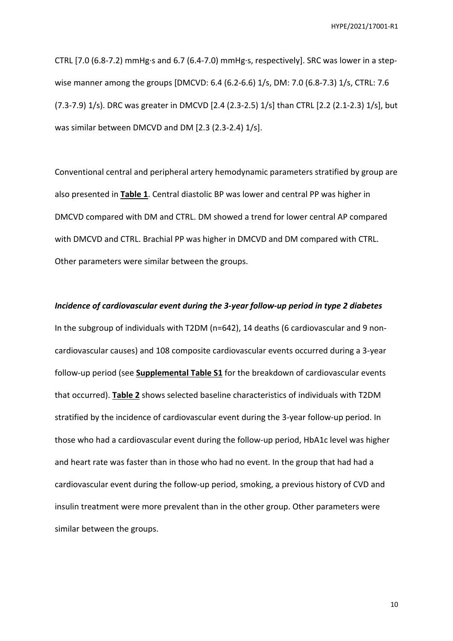CTRL [7.0 (6.8-7.2) mmHg∙s and 6.7 (6.4-7.0) mmHg∙s, respectively]. SRC was lower in a stepwise manner among the groups [DMCVD: 6.4 (6.2-6.6) 1/s, DM: 7.0 (6.8-7.3) 1/s, CTRL: 7.6 (7.3-7.9) 1/s). DRC was greater in DMCVD [2.4 (2.3-2.5) 1/s] than CTRL [2.2 (2.1-2.3) 1/s], but was similar between DMCVD and DM [2.3 (2.3-2.4) 1/s].

Conventional central and peripheral artery hemodynamic parameters stratified by group are also presented in **Table 1**. Central diastolic BP was lower and central PP was higher in DMCVD compared with DM and CTRL. DM showed a trend for lower central AP compared with DMCVD and CTRL. Brachial PP was higher in DMCVD and DM compared with CTRL. Other parameters were similar between the groups.

*Incidence of cardiovascular event during the 3-year follow-up period in type 2 diabetes*  In the subgroup of individuals with T2DM (n=642), 14 deaths (6 cardiovascular and 9 noncardiovascular causes) and 108 composite cardiovascular events occurred during a 3-year follow-up period (see **Supplemental Table S1** for the breakdown of cardiovascular events that occurred). **Table 2** shows selected baseline characteristics of individuals with T2DM stratified by the incidence of cardiovascular event during the 3-year follow-up period. In those who had a cardiovascular event during the follow-up period, HbA1c level was higher and heart rate was faster than in those who had no event. In the group that had had a cardiovascular event during the follow-up period, smoking, a previous history of CVD and insulin treatment were more prevalent than in the other group. Other parameters were similar between the groups.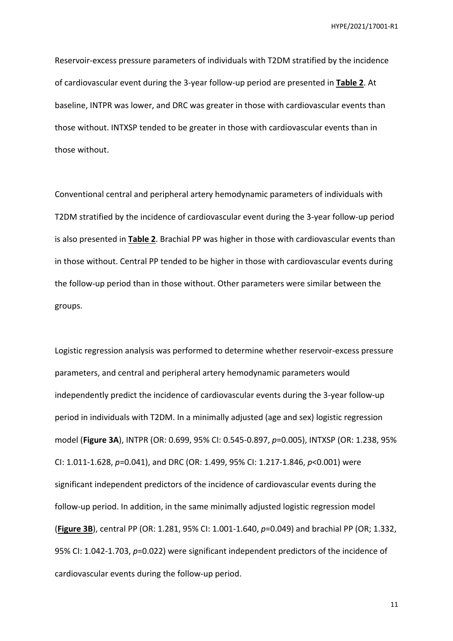Reservoir-excess pressure parameters of individuals with T2DM stratified by the incidence of cardiovascular event during the 3-year follow-up period are presented in **Table 2**. At baseline, INTPR was lower, and DRC was greater in those with cardiovascular events than those without. INTXSP tended to be greater in those with cardiovascular events than in those without.

Conventional central and peripheral artery hemodynamic parameters of individuals with T2DM stratified by the incidence of cardiovascular event during the 3-year follow-up period is also presented in **Table 2**. Brachial PP was higher in those with cardiovascular events than in those without. Central PP tended to be higher in those with cardiovascular events during the follow-up period than in those without. Other parameters were similar between the groups.

Logistic regression analysis was performed to determine whether reservoir-excess pressure parameters, and central and peripheral artery hemodynamic parameters would independently predict the incidence of cardiovascular events during the 3-year follow-up period in individuals with T2DM. In a minimally adjusted (age and sex) logistic regression model (**Figure 3A**), INTPR (OR: 0.699, 95% CI: 0.545-0.897, *p*=0.005), INTXSP (OR: 1.238, 95% CI: 1.011-1.628, *p*=0.041), and DRC (OR: 1.499, 95% CI: 1.217-1.846, *p*<0.001) were significant independent predictors of the incidence of cardiovascular events during the follow-up period. In addition, in the same minimally adjusted logistic regression model (**Figure 3B**), central PP (OR: 1.281, 95% CI: 1.001-1.640, *p*=0.049) and brachial PP (OR; 1.332, 95% CI: 1.042-1.703, *p*=0.022) were significant independent predictors of the incidence of cardiovascular events during the follow-up period.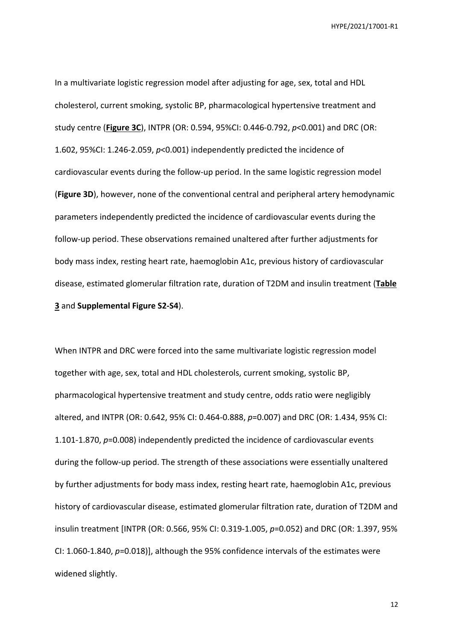In a multivariate logistic regression model after adjusting for age, sex, total and HDL cholesterol, current smoking, systolic BP, pharmacological hypertensive treatment and study centre (**Figure 3C**), INTPR (OR: 0.594, 95%CI: 0.446-0.792, *p*<0.001) and DRC (OR: 1.602, 95%CI: 1.246-2.059, *p*<0.001) independently predicted the incidence of cardiovascular events during the follow-up period. In the same logistic regression model (**Figure 3D**), however, none of the conventional central and peripheral artery hemodynamic parameters independently predicted the incidence of cardiovascular events during the follow-up period. These observations remained unaltered after further adjustments for body mass index, resting heart rate, haemoglobin A1c, previous history of cardiovascular disease, estimated glomerular filtration rate, duration of T2DM and insulin treatment (**Table 3** and **Supplemental Figure S2-S4**).

When INTPR and DRC were forced into the same multivariate logistic regression model together with age, sex, total and HDL cholesterols, current smoking, systolic BP, pharmacological hypertensive treatment and study centre, odds ratio were negligibly altered, and INTPR (OR: 0.642, 95% CI: 0.464-0.888, *p*=0.007) and DRC (OR: 1.434, 95% CI: 1.101-1.870, *p*=0.008) independently predicted the incidence of cardiovascular events during the follow-up period. The strength of these associations were essentially unaltered by further adjustments for body mass index, resting heart rate, haemoglobin A1c, previous history of cardiovascular disease, estimated glomerular filtration rate, duration of T2DM and insulin treatment [INTPR (OR: 0.566, 95% CI: 0.319-1.005, *p*=0.052) and DRC (OR: 1.397, 95% CI: 1.060-1.840, *p*=0.018)], although the 95% confidence intervals of the estimates were widened slightly.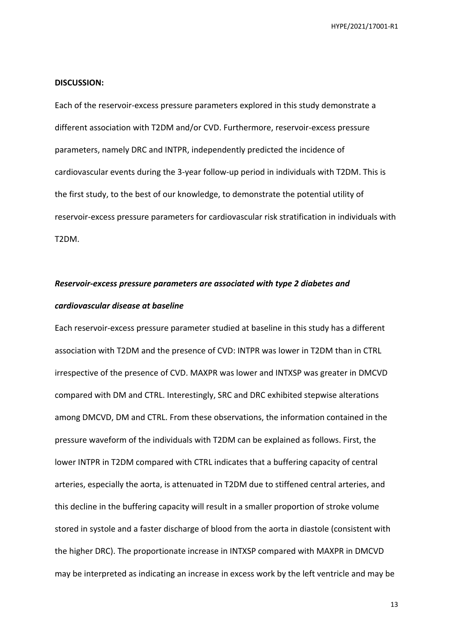### **DISCUSSION:**

Each of the reservoir-excess pressure parameters explored in this study demonstrate a different association with T2DM and/or CVD. Furthermore, reservoir-excess pressure parameters, namely DRC and INTPR, independently predicted the incidence of cardiovascular events during the 3-year follow-up period in individuals with T2DM. This is the first study, to the best of our knowledge, to demonstrate the potential utility of reservoir-excess pressure parameters for cardiovascular risk stratification in individuals with T2DM.

# *Reservoir-excess pressure parameters are associated with type 2 diabetes and cardiovascular disease at baseline*

Each reservoir-excess pressure parameter studied at baseline in this study has a different association with T2DM and the presence of CVD: INTPR was lower in T2DM than in CTRL irrespective of the presence of CVD. MAXPR was lower and INTXSP was greater in DMCVD compared with DM and CTRL. Interestingly, SRC and DRC exhibited stepwise alterations among DMCVD, DM and CTRL. From these observations, the information contained in the pressure waveform of the individuals with T2DM can be explained as follows. First, the lower INTPR in T2DM compared with CTRL indicates that a buffering capacity of central arteries, especially the aorta, is attenuated in T2DM due to stiffened central arteries, and this decline in the buffering capacity will result in a smaller proportion of stroke volume stored in systole and a faster discharge of blood from the aorta in diastole (consistent with the higher DRC). The proportionate increase in INTXSP compared with MAXPR in DMCVD may be interpreted as indicating an increase in excess work by the left ventricle and may be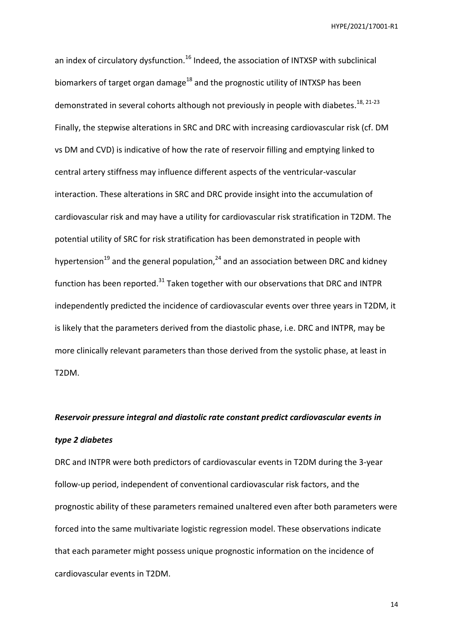an index of circulatory dysfunction.<sup>16</sup> Indeed, the association of INTXSP with subclinical biomarkers of target organ damage<sup>18</sup> and the prognostic utility of INTXSP has been demonstrated in several cohorts although not previously in people with diabetes.<sup>18, 21-23</sup> Finally, the stepwise alterations in SRC and DRC with increasing cardiovascular risk (cf. DM vs DM and CVD) is indicative of how the rate of reservoir filling and emptying linked to central artery stiffness may influence different aspects of the ventricular-vascular interaction. These alterations in SRC and DRC provide insight into the accumulation of cardiovascular risk and may have a utility for cardiovascular risk stratification in T2DM. The potential utility of SRC for risk stratification has been demonstrated in people with hypertension<sup>19</sup> and the general population,<sup>24</sup> and an association between DRC and kidney function has been reported. $31$  Taken together with our observations that DRC and INTPR independently predicted the incidence of cardiovascular events over three years in T2DM, it is likely that the parameters derived from the diastolic phase, i.e. DRC and INTPR, may be more clinically relevant parameters than those derived from the systolic phase, at least in T2DM.

# *Reservoir pressure integral and diastolic rate constant predict cardiovascular events in type 2 diabetes*

DRC and INTPR were both predictors of cardiovascular events in T2DM during the 3-year follow-up period, independent of conventional cardiovascular risk factors, and the prognostic ability of these parameters remained unaltered even after both parameters were forced into the same multivariate logistic regression model. These observations indicate that each parameter might possess unique prognostic information on the incidence of cardiovascular events in T2DM.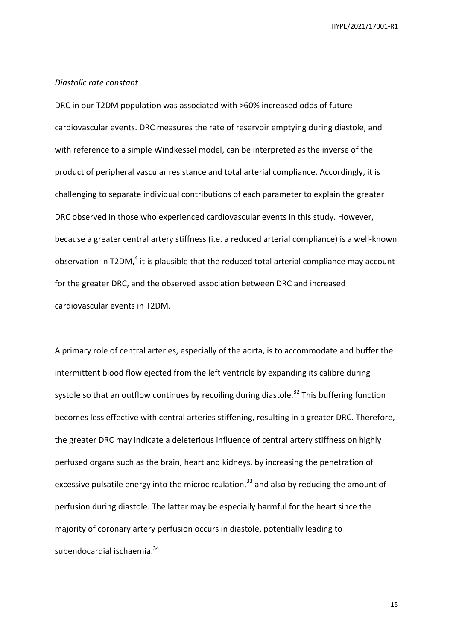## *Diastolic rate constant*

DRC in our T2DM population was associated with >60% increased odds of future cardiovascular events. DRC measures the rate of reservoir emptying during diastole, and with reference to a simple Windkessel model, can be interpreted as the inverse of the product of peripheral vascular resistance and total arterial compliance. Accordingly, it is challenging to separate individual contributions of each parameter to explain the greater DRC observed in those who experienced cardiovascular events in this study. However, because a greater central artery stiffness (i.e. a reduced arterial compliance) is a well-known observation in T2DM,<sup>4</sup> it is plausible that the reduced total arterial compliance may account for the greater DRC, and the observed association between DRC and increased cardiovascular events in T2DM.

A primary role of central arteries, especially of the aorta, is to accommodate and buffer the intermittent blood flow ejected from the left ventricle by expanding its calibre during systole so that an outflow continues by recoiling during diastole.<sup>32</sup> This buffering function becomes less effective with central arteries stiffening, resulting in a greater DRC. Therefore, the greater DRC may indicate a deleterious influence of central artery stiffness on highly perfused organs such as the brain, heart and kidneys, by increasing the penetration of excessive pulsatile energy into the microcirculation, $33$  and also by reducing the amount of perfusion during diastole. The latter may be especially harmful for the heart since the majority of coronary artery perfusion occurs in diastole, potentially leading to subendocardial ischaemia.<sup>34</sup>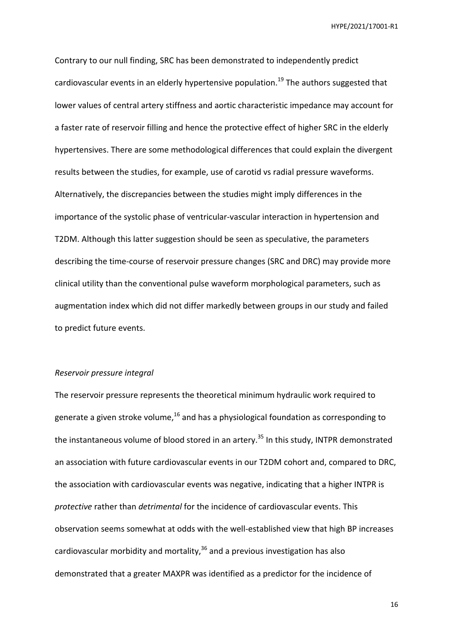Contrary to our null finding, SRC has been demonstrated to independently predict cardiovascular events in an elderly hypertensive population.<sup>19</sup> The authors suggested that lower values of central artery stiffness and aortic characteristic impedance may account for a faster rate of reservoir filling and hence the protective effect of higher SRC in the elderly hypertensives. There are some methodological differences that could explain the divergent results between the studies, for example, use of carotid vs radial pressure waveforms. Alternatively, the discrepancies between the studies might imply differences in the importance of the systolic phase of ventricular-vascular interaction in hypertension and T2DM. Although this latter suggestion should be seen as speculative, the parameters describing the time-course of reservoir pressure changes (SRC and DRC) may provide more clinical utility than the conventional pulse waveform morphological parameters, such as augmentation index which did not differ markedly between groups in our study and failed to predict future events.

# *Reservoir pressure integral*

The reservoir pressure represents the theoretical minimum hydraulic work required to generate a given stroke volume, $16$  and has a physiological foundation as corresponding to the instantaneous volume of blood stored in an artery.<sup>35</sup> In this study, INTPR demonstrated an association with future cardiovascular events in our T2DM cohort and, compared to DRC, the association with cardiovascular events was negative, indicating that a higher INTPR is *protective* rather than *detrimental* for the incidence of cardiovascular events. This observation seems somewhat at odds with the well-established view that high BP increases cardiovascular morbidity and mortality, $36$  and a previous investigation has also demonstrated that a greater MAXPR was identified as a predictor for the incidence of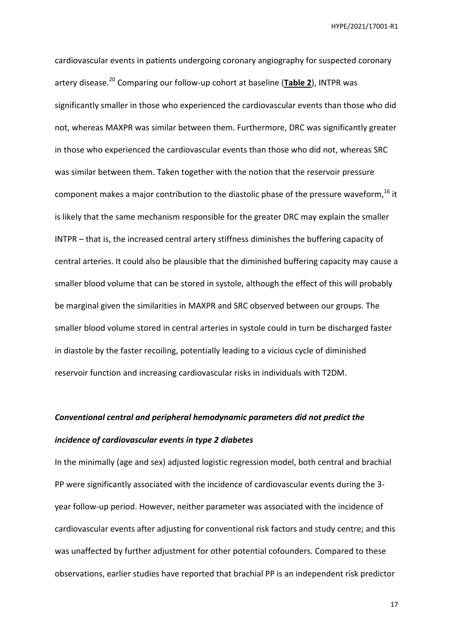cardiovascular events in patients undergoing coronary angiography for suspected coronary artery disease.<sup>20</sup> Comparing our follow-up cohort at baseline (**Table 2**), INTPR was significantly smaller in those who experienced the cardiovascular events than those who did not, whereas MAXPR was similar between them. Furthermore, DRC was significantly greater in those who experienced the cardiovascular events than those who did not, whereas SRC was similar between them. Taken together with the notion that the reservoir pressure component makes a major contribution to the diastolic phase of the pressure waveform,  $^{16}$  it is likely that the same mechanism responsible for the greater DRC may explain the smaller INTPR – that is, the increased central artery stiffness diminishes the buffering capacity of central arteries. It could also be plausible that the diminished buffering capacity may cause a smaller blood volume that can be stored in systole, although the effect of this will probably be marginal given the similarities in MAXPR and SRC observed between our groups. The smaller blood volume stored in central arteries in systole could in turn be discharged faster in diastole by the faster recoiling, potentially leading to a vicious cycle of diminished reservoir function and increasing cardiovascular risks in individuals with T2DM.

# *Conventional central and peripheral hemodynamic parameters did not predict the incidence of cardiovascular events in type 2 diabetes*

In the minimally (age and sex) adjusted logistic regression model, both central and brachial PP were significantly associated with the incidence of cardiovascular events during the 3 year follow-up period. However, neither parameter was associated with the incidence of cardiovascular events after adjusting for conventional risk factors and study centre; and this was unaffected by further adjustment for other potential cofounders. Compared to these observations, earlier studies have reported that brachial PP is an independent risk predictor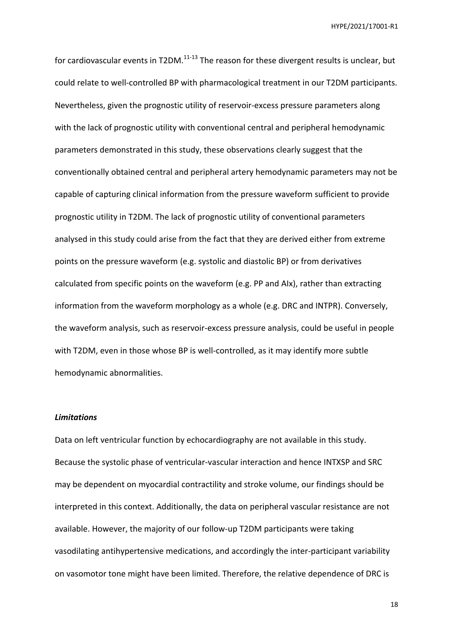for cardiovascular events in T2DM. $^{11-13}$  The reason for these divergent results is unclear, but could relate to well-controlled BP with pharmacological treatment in our T2DM participants. Nevertheless, given the prognostic utility of reservoir-excess pressure parameters along with the lack of prognostic utility with conventional central and peripheral hemodynamic parameters demonstrated in this study, these observations clearly suggest that the conventionally obtained central and peripheral artery hemodynamic parameters may not be capable of capturing clinical information from the pressure waveform sufficient to provide prognostic utility in T2DM. The lack of prognostic utility of conventional parameters analysed in this study could arise from the fact that they are derived either from extreme points on the pressure waveform (e.g. systolic and diastolic BP) or from derivatives calculated from specific points on the waveform (e.g. PP and AIx), rather than extracting information from the waveform morphology as a whole (e.g. DRC and INTPR). Conversely, the waveform analysis, such as reservoir-excess pressure analysis, could be useful in people with T2DM, even in those whose BP is well-controlled, as it may identify more subtle hemodynamic abnormalities.

# *Limitations*

Data on left ventricular function by echocardiography are not available in this study. Because the systolic phase of ventricular-vascular interaction and hence INTXSP and SRC may be dependent on myocardial contractility and stroke volume, our findings should be interpreted in this context. Additionally, the data on peripheral vascular resistance are not available. However, the majority of our follow-up T2DM participants were taking vasodilating antihypertensive medications, and accordingly the inter-participant variability on vasomotor tone might have been limited. Therefore, the relative dependence of DRC is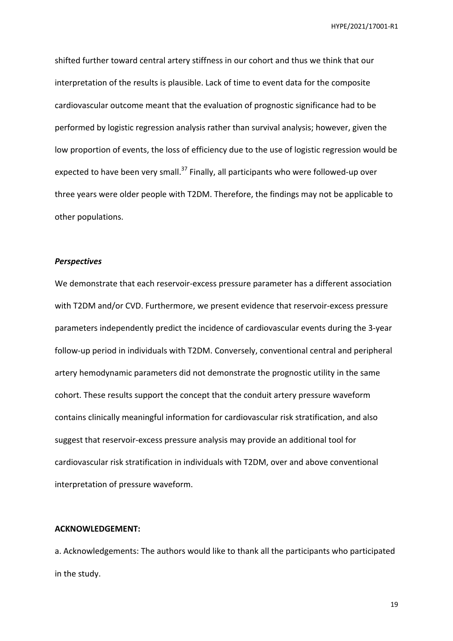shifted further toward central artery stiffness in our cohort and thus we think that our interpretation of the results is plausible. Lack of time to event data for the composite cardiovascular outcome meant that the evaluation of prognostic significance had to be performed by logistic regression analysis rather than survival analysis; however, given the low proportion of events, the loss of efficiency due to the use of logistic regression would be expected to have been very small.<sup>37</sup> Finally, all participants who were followed-up over three years were older people with T2DM. Therefore, the findings may not be applicable to other populations.

# *Perspectives*

We demonstrate that each reservoir-excess pressure parameter has a different association with T2DM and/or CVD. Furthermore, we present evidence that reservoir-excess pressure parameters independently predict the incidence of cardiovascular events during the 3-year follow-up period in individuals with T2DM. Conversely, conventional central and peripheral artery hemodynamic parameters did not demonstrate the prognostic utility in the same cohort. These results support the concept that the conduit artery pressure waveform contains clinically meaningful information for cardiovascular risk stratification, and also suggest that reservoir-excess pressure analysis may provide an additional tool for cardiovascular risk stratification in individuals with T2DM, over and above conventional interpretation of pressure waveform.

### **ACKNOWLEDGEMENT:**

a. Acknowledgements: The authors would like to thank all the participants who participated in the study.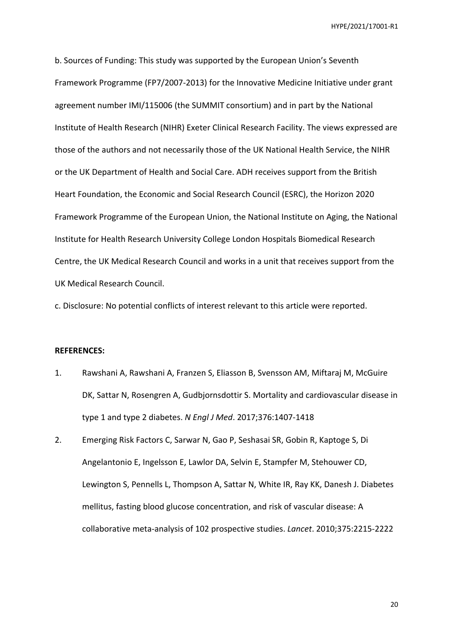b. Sources of Funding: This study was supported by the European Union's Seventh Framework Programme (FP7/2007-2013) for the Innovative Medicine Initiative under grant agreement number IMI/115006 (the SUMMIT consortium) and in part by the National Institute of Health Research (NIHR) Exeter Clinical Research Facility. The views expressed are those of the authors and not necessarily those of the UK National Health Service, the NIHR or the UK Department of Health and Social Care. ADH receives support from the British Heart Foundation, the Economic and Social Research Council (ESRC), the Horizon 2020 Framework Programme of the European Union, the National Institute on Aging, the National Institute for Health Research University College London Hospitals Biomedical Research Centre, the UK Medical Research Council and works in a unit that receives support from the UK Medical Research Council.

c. Disclosure: No potential conflicts of interest relevant to this article were reported.

### **REFERENCES:**

- 1. Rawshani A, Rawshani A, Franzen S, Eliasson B, Svensson AM, Miftaraj M, McGuire DK, Sattar N, Rosengren A, Gudbjornsdottir S. Mortality and cardiovascular disease in type 1 and type 2 diabetes. *N Engl J Med*. 2017;376:1407-1418
- 2. Emerging Risk Factors C, Sarwar N, Gao P, Seshasai SR, Gobin R, Kaptoge S, Di Angelantonio E, Ingelsson E, Lawlor DA, Selvin E, Stampfer M, Stehouwer CD, Lewington S, Pennells L, Thompson A, Sattar N, White IR, Ray KK, Danesh J. Diabetes mellitus, fasting blood glucose concentration, and risk of vascular disease: A collaborative meta-analysis of 102 prospective studies. *Lancet*. 2010;375:2215-2222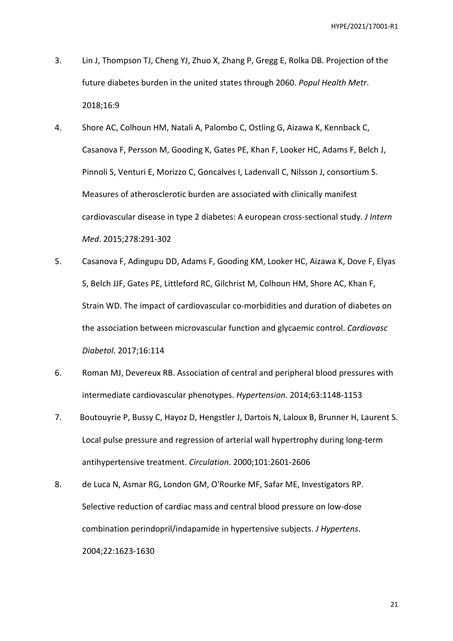- 3. Lin J, Thompson TJ, Cheng YJ, Zhuo X, Zhang P, Gregg E, Rolka DB. Projection of the future diabetes burden in the united states through 2060. *Popul Health Metr*. 2018;16:9
- 4. Shore AC, Colhoun HM, Natali A, Palombo C, Ostling G, Aizawa K, Kennback C, Casanova F, Persson M, Gooding K, Gates PE, Khan F, Looker HC, Adams F, Belch J, Pinnoli S, Venturi E, Morizzo C, Goncalves I, Ladenvall C, Nilsson J, consortium S. Measures of atherosclerotic burden are associated with clinically manifest cardiovascular disease in type 2 diabetes: A european cross-sectional study. *J Intern Med*. 2015;278:291-302
- 5. Casanova F, Adingupu DD, Adams F, Gooding KM, Looker HC, Aizawa K, Dove F, Elyas S, Belch JJF, Gates PE, Littleford RC, Gilchrist M, Colhoun HM, Shore AC, Khan F, Strain WD. The impact of cardiovascular co-morbidities and duration of diabetes on the association between microvascular function and glycaemic control. *Cardiovasc Diabetol*. 2017;16:114
- 6. Roman MJ, Devereux RB. Association of central and peripheral blood pressures with intermediate cardiovascular phenotypes. *Hypertension*. 2014;63:1148-1153
- 7. Boutouyrie P, Bussy C, Hayoz D, Hengstler J, Dartois N, Laloux B, Brunner H, Laurent S. Local pulse pressure and regression of arterial wall hypertrophy during long-term antihypertensive treatment. *Circulation*. 2000;101:2601-2606
- 8. de Luca N, Asmar RG, London GM, O'Rourke MF, Safar ME, Investigators RP. Selective reduction of cardiac mass and central blood pressure on low-dose combination perindopril/indapamide in hypertensive subjects. *J Hypertens*. 2004;22:1623-1630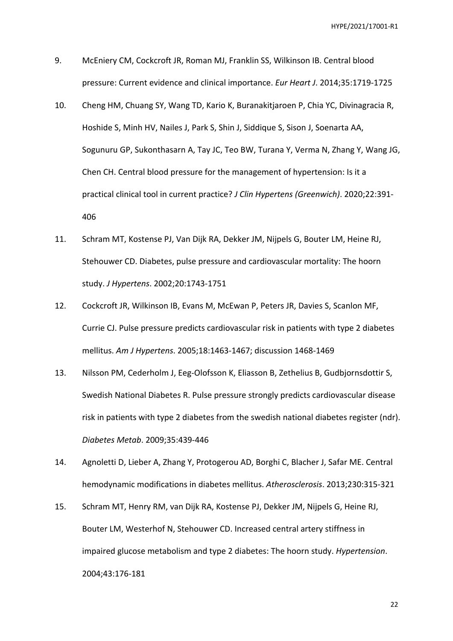- 9. McEniery CM, Cockcroft JR, Roman MJ, Franklin SS, Wilkinson IB. Central blood pressure: Current evidence and clinical importance. *Eur Heart J*. 2014;35:1719-1725
- 10. Cheng HM, Chuang SY, Wang TD, Kario K, Buranakitjaroen P, Chia YC, Divinagracia R, Hoshide S, Minh HV, Nailes J, Park S, Shin J, Siddique S, Sison J, Soenarta AA, Sogunuru GP, Sukonthasarn A, Tay JC, Teo BW, Turana Y, Verma N, Zhang Y, Wang JG, Chen CH. Central blood pressure for the management of hypertension: Is it a practical clinical tool in current practice? *J Clin Hypertens (Greenwich)*. 2020;22:391- 406
- 11. Schram MT, Kostense PJ, Van Dijk RA, Dekker JM, Nijpels G, Bouter LM, Heine RJ, Stehouwer CD. Diabetes, pulse pressure and cardiovascular mortality: The hoorn study. *J Hypertens*. 2002;20:1743-1751
- 12. Cockcroft JR, Wilkinson IB, Evans M, McEwan P, Peters JR, Davies S, Scanlon MF, Currie CJ. Pulse pressure predicts cardiovascular risk in patients with type 2 diabetes mellitus. *Am J Hypertens*. 2005;18:1463-1467; discussion 1468-1469
- 13. Nilsson PM, Cederholm J, Eeg-Olofsson K, Eliasson B, Zethelius B, Gudbjornsdottir S, Swedish National Diabetes R. Pulse pressure strongly predicts cardiovascular disease risk in patients with type 2 diabetes from the swedish national diabetes register (ndr). *Diabetes Metab*. 2009;35:439-446
- 14. Agnoletti D, Lieber A, Zhang Y, Protogerou AD, Borghi C, Blacher J, Safar ME. Central hemodynamic modifications in diabetes mellitus. *Atherosclerosis*. 2013;230:315-321
- 15. Schram MT, Henry RM, van Dijk RA, Kostense PJ, Dekker JM, Nijpels G, Heine RJ, Bouter LM, Westerhof N, Stehouwer CD. Increased central artery stiffness in impaired glucose metabolism and type 2 diabetes: The hoorn study. *Hypertension*. 2004;43:176-181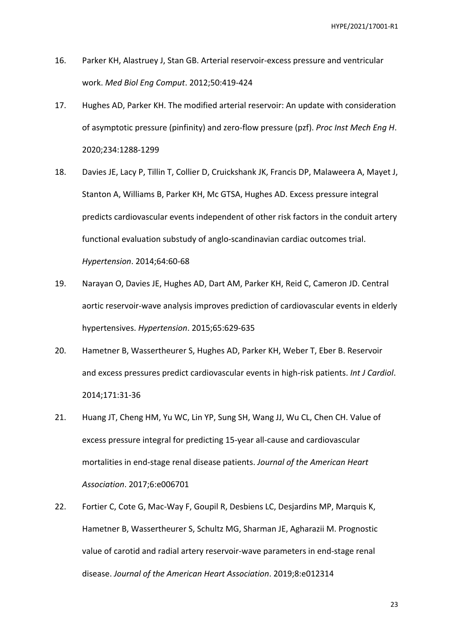- 16. Parker KH, Alastruey J, Stan GB. Arterial reservoir-excess pressure and ventricular work. *Med Biol Eng Comput*. 2012;50:419-424
- 17. Hughes AD, Parker KH. The modified arterial reservoir: An update with consideration of asymptotic pressure (pinfinity) and zero-flow pressure (pzf). *Proc Inst Mech Eng H*. 2020;234:1288-1299
- 18. Davies JE, Lacy P, Tillin T, Collier D, Cruickshank JK, Francis DP, Malaweera A, Mayet J, Stanton A, Williams B, Parker KH, Mc GTSA, Hughes AD. Excess pressure integral predicts cardiovascular events independent of other risk factors in the conduit artery functional evaluation substudy of anglo-scandinavian cardiac outcomes trial. *Hypertension*. 2014;64:60-68
- 19. Narayan O, Davies JE, Hughes AD, Dart AM, Parker KH, Reid C, Cameron JD. Central aortic reservoir-wave analysis improves prediction of cardiovascular events in elderly hypertensives. *Hypertension*. 2015;65:629-635
- 20. Hametner B, Wassertheurer S, Hughes AD, Parker KH, Weber T, Eber B. Reservoir and excess pressures predict cardiovascular events in high-risk patients. *Int J Cardiol*. 2014;171:31-36
- 21. Huang JT, Cheng HM, Yu WC, Lin YP, Sung SH, Wang JJ, Wu CL, Chen CH. Value of excess pressure integral for predicting 15-year all-cause and cardiovascular mortalities in end-stage renal disease patients. *Journal of the American Heart Association*. 2017;6:e006701
- 22. Fortier C, Cote G, Mac-Way F, Goupil R, Desbiens LC, Desjardins MP, Marquis K, Hametner B, Wassertheurer S, Schultz MG, Sharman JE, Agharazii M. Prognostic value of carotid and radial artery reservoir-wave parameters in end-stage renal disease. *Journal of the American Heart Association*. 2019;8:e012314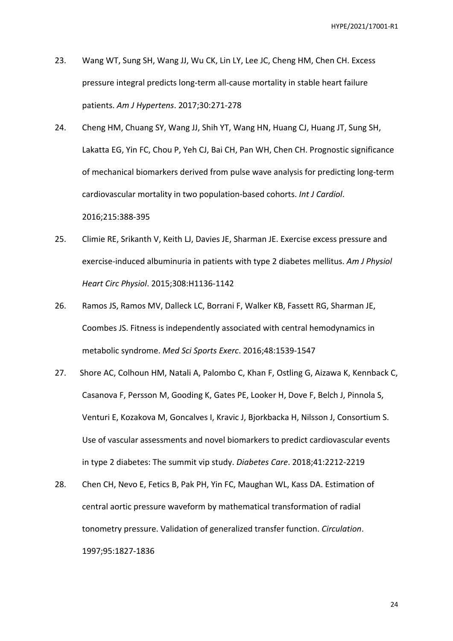- 23. Wang WT, Sung SH, Wang JJ, Wu CK, Lin LY, Lee JC, Cheng HM, Chen CH. Excess pressure integral predicts long-term all-cause mortality in stable heart failure patients. *Am J Hypertens*. 2017;30:271-278
- 24. Cheng HM, Chuang SY, Wang JJ, Shih YT, Wang HN, Huang CJ, Huang JT, Sung SH, Lakatta EG, Yin FC, Chou P, Yeh CJ, Bai CH, Pan WH, Chen CH. Prognostic significance of mechanical biomarkers derived from pulse wave analysis for predicting long-term cardiovascular mortality in two population-based cohorts. *Int J Cardiol*. 2016;215:388-395
- 25. Climie RE, Srikanth V, Keith LJ, Davies JE, Sharman JE. Exercise excess pressure and exercise-induced albuminuria in patients with type 2 diabetes mellitus. *Am J Physiol Heart Circ Physiol*. 2015;308:H1136-1142
- 26. Ramos JS, Ramos MV, Dalleck LC, Borrani F, Walker KB, Fassett RG, Sharman JE, Coombes JS. Fitness is independently associated with central hemodynamics in metabolic syndrome. *Med Sci Sports Exerc*. 2016;48:1539-1547
- 27. Shore AC, Colhoun HM, Natali A, Palombo C, Khan F, Ostling G, Aizawa K, Kennback C, Casanova F, Persson M, Gooding K, Gates PE, Looker H, Dove F, Belch J, Pinnola S, Venturi E, Kozakova M, Goncalves I, Kravic J, Bjorkbacka H, Nilsson J, Consortium S. Use of vascular assessments and novel biomarkers to predict cardiovascular events in type 2 diabetes: The summit vip study. *Diabetes Care*. 2018;41:2212-2219
- 28. Chen CH, Nevo E, Fetics B, Pak PH, Yin FC, Maughan WL, Kass DA. Estimation of central aortic pressure waveform by mathematical transformation of radial tonometry pressure. Validation of generalized transfer function. *Circulation*. 1997;95:1827-1836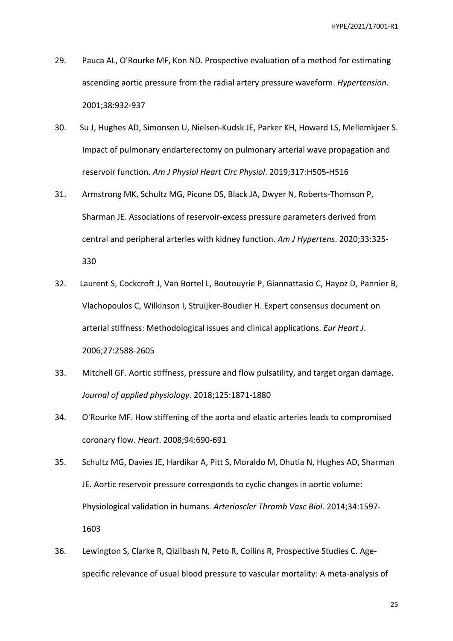- 29. Pauca AL, O'Rourke MF, Kon ND. Prospective evaluation of a method for estimating ascending aortic pressure from the radial artery pressure waveform. *Hypertension*. 2001;38:932-937
- 30. Su J, Hughes AD, Simonsen U, Nielsen-Kudsk JE, Parker KH, Howard LS, Mellemkjaer S. Impact of pulmonary endarterectomy on pulmonary arterial wave propagation and reservoir function. *Am J Physiol Heart Circ Physiol*. 2019;317:H505-H516
- 31. Armstrong MK, Schultz MG, Picone DS, Black JA, Dwyer N, Roberts-Thomson P, Sharman JE. Associations of reservoir-excess pressure parameters derived from central and peripheral arteries with kidney function. *Am J Hypertens*. 2020;33:325- 330
- 32. Laurent S, Cockcroft J, Van Bortel L, Boutouyrie P, Giannattasio C, Hayoz D, Pannier B, Vlachopoulos C, Wilkinson I, Struijker-Boudier H. Expert consensus document on arterial stiffness: Methodological issues and clinical applications. *Eur Heart J*. 2006;27:2588-2605
- 33. Mitchell GF. Aortic stiffness, pressure and flow pulsatility, and target organ damage. *Journal of applied physiology*. 2018;125:1871-1880
- 34. O'Rourke MF. How stiffening of the aorta and elastic arteries leads to compromised coronary flow. *Heart*. 2008;94:690-691
- 35. Schultz MG, Davies JE, Hardikar A, Pitt S, Moraldo M, Dhutia N, Hughes AD, Sharman JE. Aortic reservoir pressure corresponds to cyclic changes in aortic volume: Physiological validation in humans. *Arterioscler Thromb Vasc Biol*. 2014;34:1597- 1603
- 36. Lewington S, Clarke R, Qizilbash N, Peto R, Collins R, Prospective Studies C. Agespecific relevance of usual blood pressure to vascular mortality: A meta-analysis of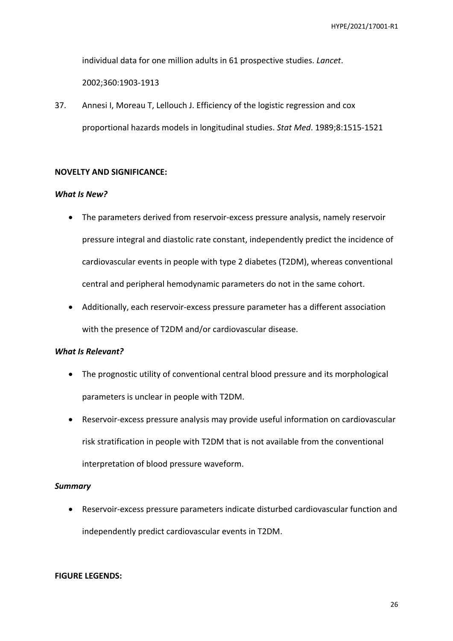individual data for one million adults in 61 prospective studies. *Lancet*.

2002;360:1903-1913

37. Annesi I, Moreau T, Lellouch J. Efficiency of the logistic regression and cox proportional hazards models in longitudinal studies. *Stat Med*. 1989;8:1515-1521

# **NOVELTY AND SIGNIFICANCE:**

### *What Is New?*

- The parameters derived from reservoir-excess pressure analysis, namely reservoir pressure integral and diastolic rate constant, independently predict the incidence of cardiovascular events in people with type 2 diabetes (T2DM), whereas conventional central and peripheral hemodynamic parameters do not in the same cohort.
- Additionally, each reservoir-excess pressure parameter has a different association with the presence of T2DM and/or cardiovascular disease.

# *What Is Relevant?*

- The prognostic utility of conventional central blood pressure and its morphological parameters is unclear in people with T2DM.
- Reservoir-excess pressure analysis may provide useful information on cardiovascular risk stratification in people with T2DM that is not available from the conventional interpretation of blood pressure waveform.

### *Summary*

 Reservoir-excess pressure parameters indicate disturbed cardiovascular function and independently predict cardiovascular events in T2DM.

### **FIGURE LEGENDS:**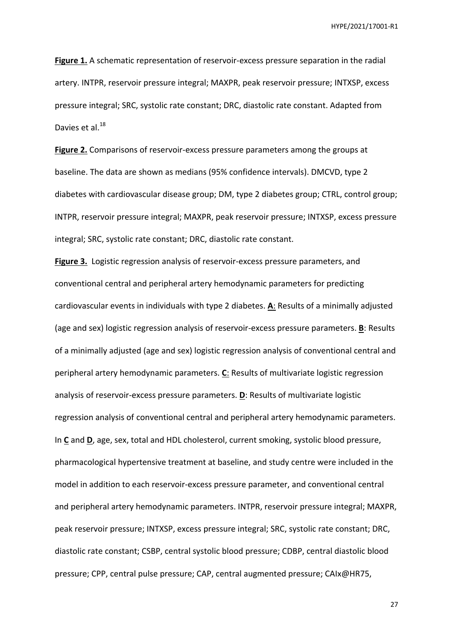**Figure 1.** A schematic representation of reservoir-excess pressure separation in the radial artery. INTPR, reservoir pressure integral; MAXPR, peak reservoir pressure; INTXSP, excess pressure integral; SRC, systolic rate constant; DRC, diastolic rate constant. Adapted from Davies et al.<sup>18</sup>

**Figure 2.** Comparisons of reservoir-excess pressure parameters among the groups at baseline. The data are shown as medians (95% confidence intervals). DMCVD, type 2 diabetes with cardiovascular disease group; DM, type 2 diabetes group; CTRL, control group; INTPR, reservoir pressure integral; MAXPR, peak reservoir pressure; INTXSP, excess pressure integral; SRC, systolic rate constant; DRC, diastolic rate constant.

**Figure 3.** Logistic regression analysis of reservoir-excess pressure parameters, and conventional central and peripheral artery hemodynamic parameters for predicting cardiovascular events in individuals with type 2 diabetes. **A**: Results of a minimally adjusted (age and sex) logistic regression analysis of reservoir-excess pressure parameters. **B**: Results of a minimally adjusted (age and sex) logistic regression analysis of conventional central and peripheral artery hemodynamic parameters. **C**: Results of multivariate logistic regression analysis of reservoir-excess pressure parameters. **D**: Results of multivariate logistic regression analysis of conventional central and peripheral artery hemodynamic parameters. In **C** and **D**, age, sex, total and HDL cholesterol, current smoking, systolic blood pressure, pharmacological hypertensive treatment at baseline, and study centre were included in the model in addition to each reservoir-excess pressure parameter, and conventional central and peripheral artery hemodynamic parameters. INTPR, reservoir pressure integral; MAXPR, peak reservoir pressure; INTXSP, excess pressure integral; SRC, systolic rate constant; DRC, diastolic rate constant; CSBP, central systolic blood pressure; CDBP, central diastolic blood pressure; CPP, central pulse pressure; CAP, central augmented pressure; CAIx@HR75,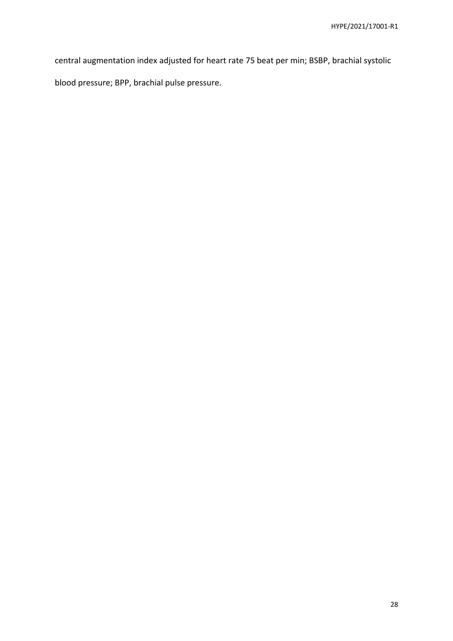central augmentation index adjusted for heart rate 75 beat per min; BSBP, brachial systolic

blood pressure; BPP, brachial pulse pressure.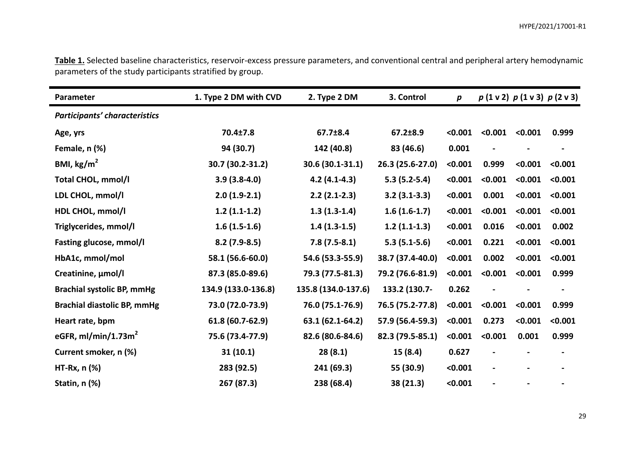| Table 1. Selected baseline characteristics, reservoir-excess pressure parameters, and conventional central and peripheral artery hemodynamic |  |  |  |
|----------------------------------------------------------------------------------------------------------------------------------------------|--|--|--|
| parameters of the study participants stratified by group.                                                                                    |  |  |  |

| Parameter                          | 1. Type 2 DM with CVD | 2. Type 2 DM        | 3. Control       | p       |         |         | $p(1 \vee 2) p(1 \vee 3) p(2 \vee 3)$ |
|------------------------------------|-----------------------|---------------------|------------------|---------|---------|---------|---------------------------------------|
| Participants' characteristics      |                       |                     |                  |         |         |         |                                       |
| Age, yrs                           | 70.4±7.8              | 67.7±8.4            | 67.2±8.9         | < 0.001 | < 0.001 | < 0.001 | 0.999                                 |
| Female, n (%)                      | 94 (30.7)             | 142 (40.8)          | 83 (46.6)        | 0.001   |         |         |                                       |
| BMI, $\text{kg/m}^2$               | 30.7 (30.2-31.2)      | 30.6 (30.1-31.1)    | 26.3 (25.6-27.0) | < 0.001 | 0.999   | < 0.001 | < 0.001                               |
| <b>Total CHOL, mmol/l</b>          | $3.9(3.8-4.0)$        | $4.2(4.1-4.3)$      | $5.3(5.2-5.4)$   | < 0.001 | < 0.001 | < 0.001 | < 0.001                               |
| LDL CHOL, mmol/l                   | $2.0(1.9-2.1)$        | $2.2(2.1-2.3)$      | $3.2(3.1-3.3)$   | < 0.001 | 0.001   | < 0.001 | < 0.001                               |
| HDL CHOL, mmol/l                   | $1.2(1.1-1.2)$        | $1.3(1.3-1.4)$      | $1.6(1.6-1.7)$   | < 0.001 | < 0.001 | < 0.001 | < 0.001                               |
| Triglycerides, mmol/l              | $1.6(1.5-1.6)$        | $1.4(1.3-1.5)$      | $1.2(1.1-1.3)$   | < 0.001 | 0.016   | < 0.001 | 0.002                                 |
| Fasting glucose, mmol/l            | $8.2(7.9-8.5)$        | $7.8(7.5-8.1)$      | $5.3(5.1-5.6)$   | < 0.001 | 0.221   | < 0.001 | < 0.001                               |
| HbA1c, mmol/mol                    | 58.1 (56.6-60.0)      | 54.6 (53.3-55.9)    | 38.7 (37.4-40.0) | < 0.001 | 0.002   | < 0.001 | < 0.001                               |
| Creatinine, µmol/l                 | 87.3 (85.0-89.6)      | 79.3 (77.5-81.3)    | 79.2 (76.6-81.9) | < 0.001 | < 0.001 | < 0.001 | 0.999                                 |
| <b>Brachial systolic BP, mmHg</b>  | 134.9 (133.0-136.8)   | 135.8 (134.0-137.6) | 133.2 (130.7-    | 0.262   |         |         |                                       |
| <b>Brachial diastolic BP, mmHg</b> | 73.0 (72.0-73.9)      | 76.0 (75.1-76.9)    | 76.5 (75.2-77.8) | < 0.001 | < 0.001 | < 0.001 | 0.999                                 |
| Heart rate, bpm                    | 61.8 (60.7-62.9)      | 63.1 (62.1-64.2)    | 57.9 (56.4-59.3) | < 0.001 | 0.273   | < 0.001 | < 0.001                               |
| eGFR, $ml/min/1.73m2$              | 75.6 (73.4-77.9)      | 82.6 (80.6-84.6)    | 82.3 (79.5-85.1) | < 0.001 | < 0.001 | 0.001   | 0.999                                 |
| Current smoker, n (%)              | 31(10.1)              | 28(8.1)             | 15 (8.4)         | 0.627   |         |         |                                       |
| $HT-Rx, n$ $(\%)$                  | 283 (92.5)            | 241 (69.3)          | 55 (30.9)        | < 0.001 |         |         |                                       |
| Statin, n (%)                      | 267 (87.3)            | 238 (68.4)          | 38 (21.3)        | < 0.001 |         |         |                                       |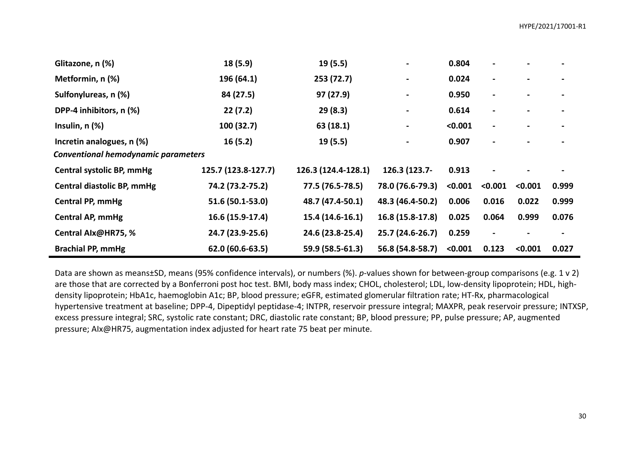| Glitazone, n (%)                           | 18 (5.9)            | 19 (5.5)            |                  | 0.804   |                              |         |       |
|--------------------------------------------|---------------------|---------------------|------------------|---------|------------------------------|---------|-------|
| Metformin, n (%)                           | 196 (64.1)          | 253 (72.7)          |                  | 0.024   | $\qquad \qquad \blacksquare$ |         |       |
| Sulfonylureas, n (%)                       | 84 (27.5)           | 97 (27.9)           |                  | 0.950   |                              |         |       |
| DPP-4 inhibitors, n (%)                    | 22(7.2)             | 29(8.3)             |                  | 0.614   |                              |         |       |
| Insulin, $n$ $(\%)$                        | 100(32.7)           | 63 (18.1)           | Ξ.               | < 0.001 |                              |         |       |
| Incretin analogues, n (%)                  | 16(5.2)             | 19 (5.5)            |                  | 0.907   |                              |         |       |
| <b>Conventional hemodynamic parameters</b> |                     |                     |                  |         |                              |         |       |
| Central systolic BP, mmHg                  | 125.7 (123.8-127.7) | 126.3 (124.4-128.1) | 126.3 (123.7-    | 0.913   |                              |         |       |
| <b>Central diastolic BP, mmHg</b>          | 74.2 (73.2-75.2)    | 77.5 (76.5-78.5)    | 78.0 (76.6-79.3) | < 0.001 | < 0.001                      | < 0.001 | 0.999 |
| <b>Central PP, mmHg</b>                    | 51.6 (50.1-53.0)    | 48.7 (47.4-50.1)    | 48.3 (46.4-50.2) | 0.006   | 0.016                        | 0.022   | 0.999 |
| <b>Central AP, mmHg</b>                    | 16.6 (15.9-17.4)    | 15.4 (14.6-16.1)    | 16.8 (15.8-17.8) | 0.025   | 0.064                        | 0.999   | 0.076 |
| Central Alx@HR75, %                        | 24.7 (23.9-25.6)    | 24.6 (23.8-25.4)    | 25.7 (24.6-26.7) | 0.259   | $\blacksquare$               |         |       |
| <b>Brachial PP, mmHg</b>                   | 62.0 (60.6-63.5)    | 59.9 (58.5-61.3)    | 56.8 (54.8-58.7) | < 0.001 | 0.123                        | < 0.001 | 0.027 |

Data are shown as means±SD, means (95% confidence intervals), or numbers (%). *p*-values shown for between-group comparisons (e.g. 1 v 2) are those that are corrected by a Bonferroni post hoc test. BMI, body mass index; CHOL, cholesterol; LDL, low-density lipoprotein; HDL, highdensity lipoprotein; HbA1c, haemoglobin A1c; BP, blood pressure; eGFR, estimated glomerular filtration rate; HT-Rx, pharmacological hypertensive treatment at baseline; DPP-4, Dipeptidyl peptidase-4; INTPR, reservoir pressure integral; MAXPR, peak reservoir pressure; INTXSP, excess pressure integral; SRC, systolic rate constant; DRC, diastolic rate constant; BP, blood pressure; PP, pulse pressure; AP, augmented pressure; AIx@HR75, augmentation index adjusted for heart rate 75 beat per minute.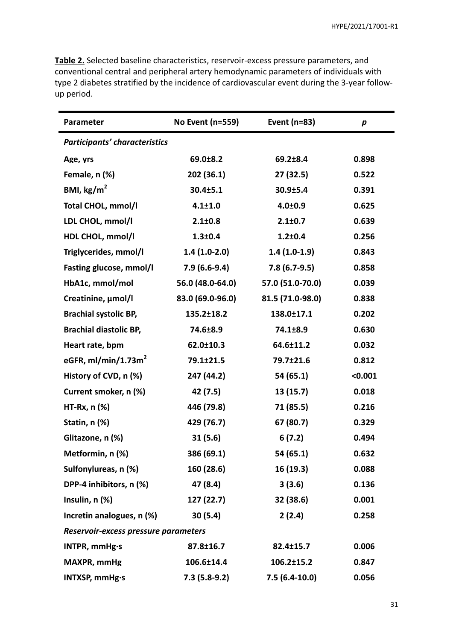**Table 2.** Selected baseline characteristics, reservoir-excess pressure parameters, and conventional central and peripheral artery hemodynamic parameters of individuals with type 2 diabetes stratified by the incidence of cardiovascular event during the 3-year followup period.

| Parameter                            | No Event (n=559) | Event (n=83)     | p       |
|--------------------------------------|------------------|------------------|---------|
| <b>Participants' characteristics</b> |                  |                  |         |
| Age, yrs                             | 69.0±8.2         | $69.2 \pm 8.4$   | 0.898   |
| Female, n (%)                        | 202 (36.1)       | 27(32.5)         | 0.522   |
| BMI, $\text{kg/m}^2$                 | 30.4±5.1         | $30.9 \pm 5.4$   | 0.391   |
| Total CHOL, mmol/l                   | $4.1 \pm 1.0$    | $4.0 + 0.9$      | 0.625   |
| LDL CHOL, mmol/l                     | $2.1 \pm 0.8$    | $2.1 \pm 0.7$    | 0.639   |
| HDL CHOL, mmol/l                     | $1.3 + 0.4$      | $1.2 + 0.4$      | 0.256   |
| Triglycerides, mmol/l                | $1.4(1.0-2.0)$   | $1.4(1.0-1.9)$   | 0.843   |
| Fasting glucose, mmol/l              | $7.9(6.6-9.4)$   | $7.8(6.7-9.5)$   | 0.858   |
| HbA1c, mmol/mol                      | 56.0 (48.0-64.0) | 57.0 (51.0-70.0) | 0.039   |
| Creatinine, µmol/l                   | 83.0 (69.0-96.0) | 81.5 (71.0-98.0) | 0.838   |
| <b>Brachial systolic BP,</b>         | 135.2±18.2       | 138.0±17.1       | 0.202   |
| <b>Brachial diastolic BP,</b>        | 74.6±8.9         | 74.1±8.9         | 0.630   |
| Heart rate, bpm                      | 62.0±10.3        | 64.6±11.2        | 0.032   |
| eGFR, ml/min/1.73m <sup>2</sup>      | 79.1±21.5        | 79.7±21.6        | 0.812   |
| History of CVD, n (%)                | 247 (44.2)       | 54 (65.1)        | < 0.001 |
| Current smoker, n (%)                | 42 (7.5)         | 13(15.7)         | 0.018   |
| $HT-Rx, n$ $%$                       | 446 (79.8)       | 71 (85.5)        | 0.216   |
| Statin, n (%)                        | 429 (76.7)       | 67 (80.7)        | 0.329   |
| Glitazone, n (%)                     | 31(5.6)          | 6(7.2)           | 0.494   |
| Metformin, n (%)                     | 386 (69.1)       | 54 (65.1)        | 0.632   |
| Sulfonylureas, n (%)                 | 160 (28.6)       | 16(19.3)         | 0.088   |
| DPP-4 inhibitors, n (%)              | 47 (8.4)         | 3(3.6)           | 0.136   |
| Insulin, n (%)                       | 127 (22.7)       | 32 (38.6)        | 0.001   |
| Incretin analogues, n (%)            | 30(5.4)          | 2(2.4)           | 0.258   |
| Reservoir-excess pressure parameters |                  |                  |         |
| INTPR, mmHg·s                        | 87.8±16.7        | 82.4±15.7        | 0.006   |
| MAXPR, mmHg                          | 106.6±14.4       | 106.2±15.2       | 0.847   |
| INTXSP, mmHg·s                       | $7.3(5.8-9.2)$   | $7.5(6.4-10.0)$  | 0.056   |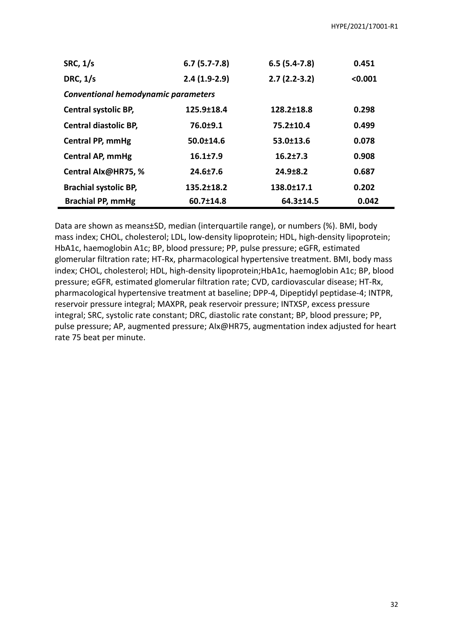| <b>SRC, 1/s</b>                            | $6.7(5.7-7.8)$  | $6.5(5.4-7.8)$   | 0.451   |
|--------------------------------------------|-----------------|------------------|---------|
| DRC, $1/s$                                 | $2.4(1.9-2.9)$  | $2.7(2.2-3.2)$   | < 0.001 |
| <b>Conventional hemodynamic parameters</b> |                 |                  |         |
| <b>Central systolic BP,</b>                | 125.9±18.4      | $128.2 \pm 18.8$ | 0.298   |
| Central diastolic BP,                      | $76.0 + 9.1$    | $75.2 \pm 10.4$  | 0.499   |
| <b>Central PP, mmHg</b>                    | $50.0 \pm 14.6$ | $53.0 \pm 13.6$  | 0.078   |
| Central AP, mmHg                           | 16.1±7.9        | $16.2{\pm}7.3$   | 0.908   |
| Central Alx@HR75, %                        | 24.6±7.6        | $24.9 \pm 8.2$   | 0.687   |
| <b>Brachial systolic BP,</b>               | 135.2±18.2      | 138.0±17.1       | 0.202   |
| <b>Brachial PP, mmHg</b>                   | 60.7±14.8       | 64.3±14.5        | 0.042   |

Data are shown as means±SD, median (interquartile range), or numbers (%). BMI, body mass index; CHOL, cholesterol; LDL, low-density lipoprotein; HDL, high-density lipoprotein; HbA1c, haemoglobin A1c; BP, blood pressure; PP, pulse pressure; eGFR, estimated glomerular filtration rate; HT-Rx, pharmacological hypertensive treatment. BMI, body mass index; CHOL, cholesterol; HDL, high-density lipoprotein;HbA1c, haemoglobin A1c; BP, blood pressure; eGFR, estimated glomerular filtration rate; CVD, cardiovascular disease; HT-Rx, pharmacological hypertensive treatment at baseline; DPP-4, Dipeptidyl peptidase-4; INTPR, reservoir pressure integral; MAXPR, peak reservoir pressure; INTXSP, excess pressure integral; SRC, systolic rate constant; DRC, diastolic rate constant; BP, blood pressure; PP, pulse pressure; AP, augmented pressure; AIx@HR75, augmentation index adjusted for heart rate 75 beat per minute.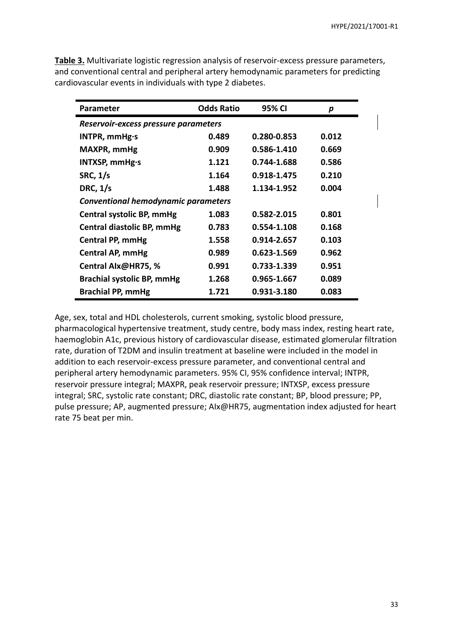| Parameter                            | <b>Odds Ratio</b> | 95% CI      | p     |  |  |
|--------------------------------------|-------------------|-------------|-------|--|--|
| Reservoir-excess pressure parameters |                   |             |       |  |  |
| INTPR, mmHg·s                        | 0.489             | 0.280-0.853 | 0.012 |  |  |
| <b>MAXPR, mmHg</b>                   | 0.909             | 0.586-1.410 | 0.669 |  |  |
| INTXSP, mmHg·s                       | 1.121             | 0.744-1.688 | 0.586 |  |  |
| <b>SRC, 1/s</b>                      | 1.164             | 0.918-1.475 | 0.210 |  |  |
| <b>DRC, 1/s</b>                      | 1.488             | 1.134-1.952 | 0.004 |  |  |
| Conventional hemodynamic parameters  |                   |             |       |  |  |
| Central systolic BP, mmHg            | 1.083             | 0.582-2.015 | 0.801 |  |  |
| Central diastolic BP, mmHg           | 0.783             | 0.554-1.108 | 0.168 |  |  |
| <b>Central PP, mmHg</b>              | 1.558             | 0.914-2.657 | 0.103 |  |  |
| <b>Central AP, mmHg</b>              | 0.989             | 0.623-1.569 | 0.962 |  |  |
| Central Alx@HR75, %                  | 0.991             | 0.733-1.339 | 0.951 |  |  |
| <b>Brachial systolic BP, mmHg</b>    | 1.268             | 0.965-1.667 | 0.089 |  |  |
| <b>Brachial PP, mmHg</b>             | 1.721             | 0.931-3.180 | 0.083 |  |  |

**Table 3.** Multivariate logistic regression analysis of reservoir-excess pressure parameters, and conventional central and peripheral artery hemodynamic parameters for predicting cardiovascular events in individuals with type 2 diabetes.

Age, sex, total and HDL cholesterols, current smoking, systolic blood pressure,

pharmacological hypertensive treatment, study centre, body mass index, resting heart rate, haemoglobin A1c, previous history of cardiovascular disease, estimated glomerular filtration rate, duration of T2DM and insulin treatment at baseline were included in the model in addition to each reservoir-excess pressure parameter, and conventional central and peripheral artery hemodynamic parameters. 95% CI, 95% confidence interval; INTPR, reservoir pressure integral; MAXPR, peak reservoir pressure; INTXSP, excess pressure integral; SRC, systolic rate constant; DRC, diastolic rate constant; BP, blood pressure; PP, pulse pressure; AP, augmented pressure; AIx@HR75, augmentation index adjusted for heart rate 75 beat per min.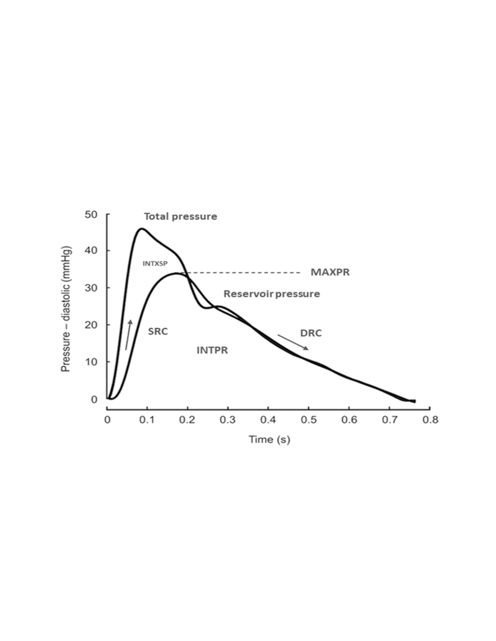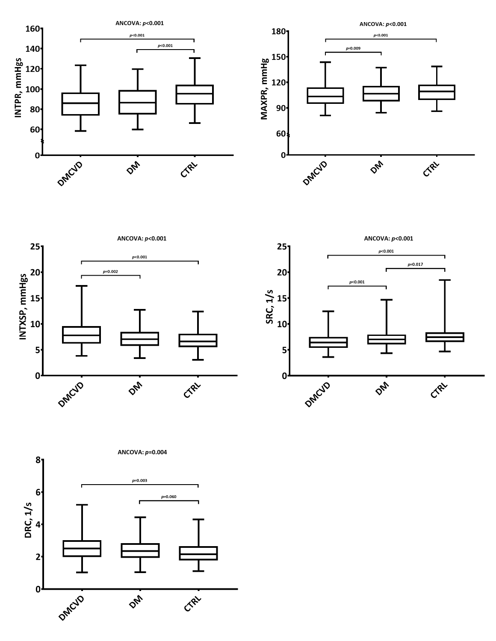